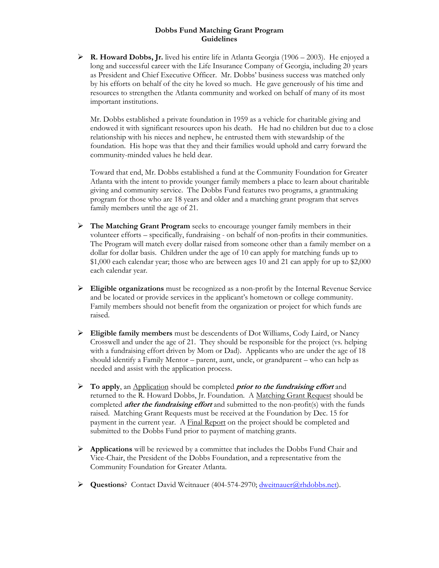#### **Dobbs Fund Matching Grant Program Guidelines**

 **R. Howard Dobbs, Jr.** lived his entire life in Atlanta Georgia (1906 – 2003). He enjoyed a long and successful career with the Life Insurance Company of Georgia, including 20 years as President and Chief Executive Officer. Mr. Dobbs' business success was matched only by his efforts on behalf of the city he loved so much. He gave generously of his time and resources to strengthen the Atlanta community and worked on behalf of many of its most important institutions.

Mr. Dobbs established a private foundation in 1959 as a vehicle for charitable giving and endowed it with significant resources upon his death. He had no children but due to a close relationship with his nieces and nephew, he entrusted them with stewardship of the foundation. His hope was that they and their families would uphold and carry forward the community-minded values he held dear.

Toward that end, Mr. Dobbs established a fund at the Community Foundation for Greater Atlanta with the intent to provide younger family members a place to learn about charitable giving and community service. The Dobbs Fund features two programs, a grantmaking program for those who are 18 years and older and a matching grant program that serves family members until the age of 21.

- **The Matching Grant Program** seeks to encourage younger family members in their volunteer efforts – specifically, fundraising - on behalf of non-profits in their communities. The Program will match every dollar raised from someone other than a family member on a dollar for dollar basis. Children under the age of 10 can apply for matching funds up to \$1,000 each calendar year; those who are between ages 10 and 21 can apply for up to \$2,000 each calendar year.
- **Eligible organizations** must be recognized as a non-profit by the Internal Revenue Service and be located or provide services in the applicant's hometown or college community. Family members should not benefit from the organization or project for which funds are raised.
- **Eligible family members** must be descendents of Dot Williams, Cody Laird, or Nancy Crosswell and under the age of 21. They should be responsible for the project (vs. helping with a fundraising effort driven by Mom or Dad). Applicants who are under the age of 18 should identify a Family Mentor – parent, aunt, uncle, or grandparent – who can help as needed and assist with the application process.
- **To apply**, an Application should be completed **prior to the fundraising effort** and returned to the R. Howard Dobbs, Jr. Foundation. A Matching Grant Request should be completed **after the fundraising effort** and submitted to the non-profit(s) with the funds raised. Matching Grant Requests must be received at the Foundation by Dec. 15 for payment in the current year. A Final Report on the project should be completed and submitted to the Dobbs Fund prior to payment of matching grants.
- **Applications** will be reviewed by a committee that includes the Dobbs Fund Chair and Vice-Chair, the President of the Dobbs Foundation, and a representative from the Community Foundation for Greater Atlanta.
- **Questions**? Contact David Weitnauer (404-574-2970; dweitnauer@rhdobbs.net).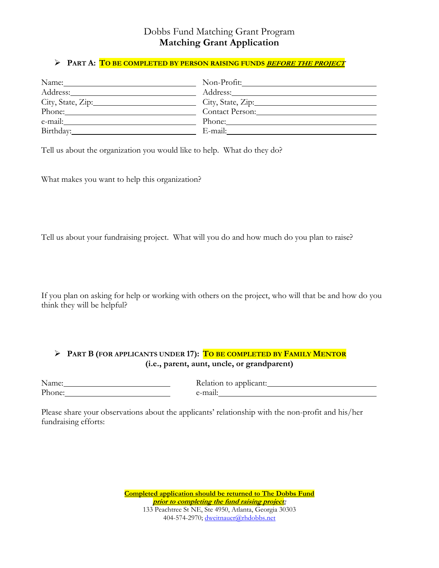### Dobbs Fund Matching Grant Program **Matching Grant Application**

#### **PART A: TO BE COMPLETED BY PERSON RAISING FUNDS BEFORE THE PROJECT**

| Name:             | Non-Profit:__________ |
|-------------------|-----------------------|
| Address:          | Address:              |
| City, State, Zip: | City, State, Zip:     |
| Phone:            | Contact Person:       |
| e-mail:           |                       |
| Birthday:         | E-mail:               |

Tell us about the organization you would like to help. What do they do?

What makes you want to help this organization?

Tell us about your fundraising project. What will you do and how much do you plan to raise?

If you plan on asking for help or working with others on the project, who will that be and how do you think they will be helpful?

### **PART B (FOR APPLICANTS UNDER 17): TO BE COMPLETED BY FAMILY MENTOR (i.e., parent, aunt, uncle, or grandparent)**

| Name:  |  |
|--------|--|
| Phone: |  |

Relation to applicant: e-mail:

Please share your observations about the applicants' relationship with the non-profit and his/her fundraising efforts:

> **Completed application should be returned to The Dobbs Fund prior to completing the fund raising project:**  133 Peachtree St NE, Ste 4950, Atlanta, Georgia 30303 404-574-2970; dweitnauer@rhdobbs.net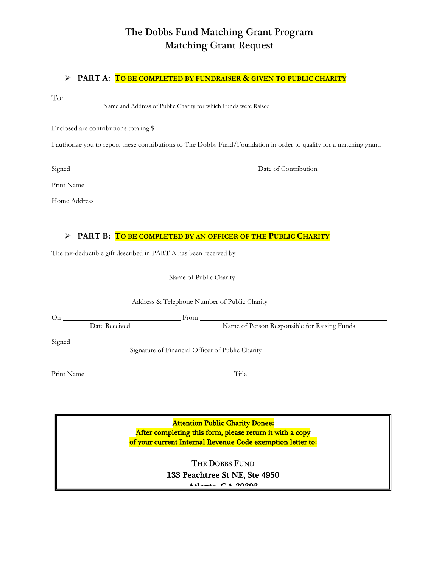# The Dobbs Fund Matching Grant Program Matching Grant Request

#### **PART A: TO BE COMPLETED BY FUNDRAISER & GIVEN TO PUBLIC CHARITY**

| Name and Address of Public Charity for which Funds were Raised                                                       |
|----------------------------------------------------------------------------------------------------------------------|
| Enclosed are contributions totaling \$                                                                               |
| I authorize you to report these contributions to The Dobbs Fund/Foundation in order to qualify for a matching grant. |
|                                                                                                                      |
|                                                                                                                      |
|                                                                                                                      |
| <u> 1989 - Andrea Andrew Maria (h. 1989).</u>                                                                        |
| Name of Public Charity                                                                                               |
| Address & Telephone Number of Public Charity                                                                         |
|                                                                                                                      |
|                                                                                                                      |
|                                                                                                                      |
| Signature of Financial Officer of Public Charity                                                                     |
|                                                                                                                      |
|                                                                                                                      |
|                                                                                                                      |

Attention Public Charity Donee: After completing this form, please return it with a copy of your current Internal Revenue Code exemption letter to:

> THE DOBBS FUND 133 Peachtree St NE, Ste 4950  $A + 1$ anta  $C A$  90909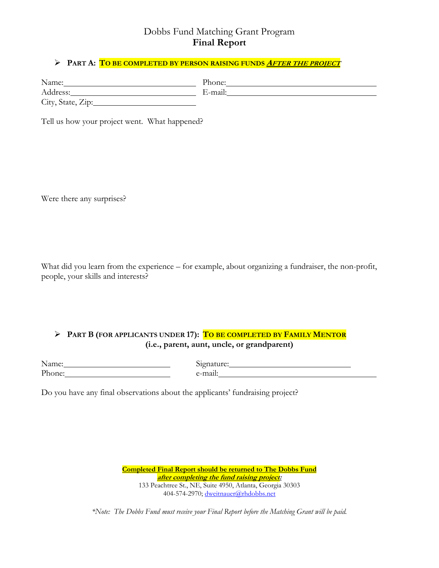### Dobbs Fund Matching Grant Program **Final Report**

#### **PART A: TO BE COMPLETED BY PERSON RAISING FUNDS <sup>A</sup>FTER THE PROJECT**

| Name:             | Phone:  |  |
|-------------------|---------|--|
| Address:          | E-mail: |  |
| City, State, Zip: |         |  |

Tell us how your project went. What happened?

Were there any surprises?

What did you learn from the experience – for example, about organizing a fundraiser, the non-profit, people, your skills and interests?

#### **PART B (FOR APPLICANTS UNDER 17): TO BE COMPLETED BY FAMILY MENTOR (i.e., parent, aunt, uncle, or grandparent)**

| Name:  |  |  |
|--------|--|--|
| Phone: |  |  |
|        |  |  |

Signature: Signature: e-mail:

Do you have any final observations about the applicants' fundraising project?

**Completed Final Report should be returned to The Dobbs Fund after completing the fund raising project:**  133 Peachtree St., NE, Suite 4950, Atlanta, Georgia 30303 404-574-2970; dweitnauer@rhdobbs.net

*\*Note: The Dobbs Fund must receive your Final Report before the Matching Grant will be paid.*